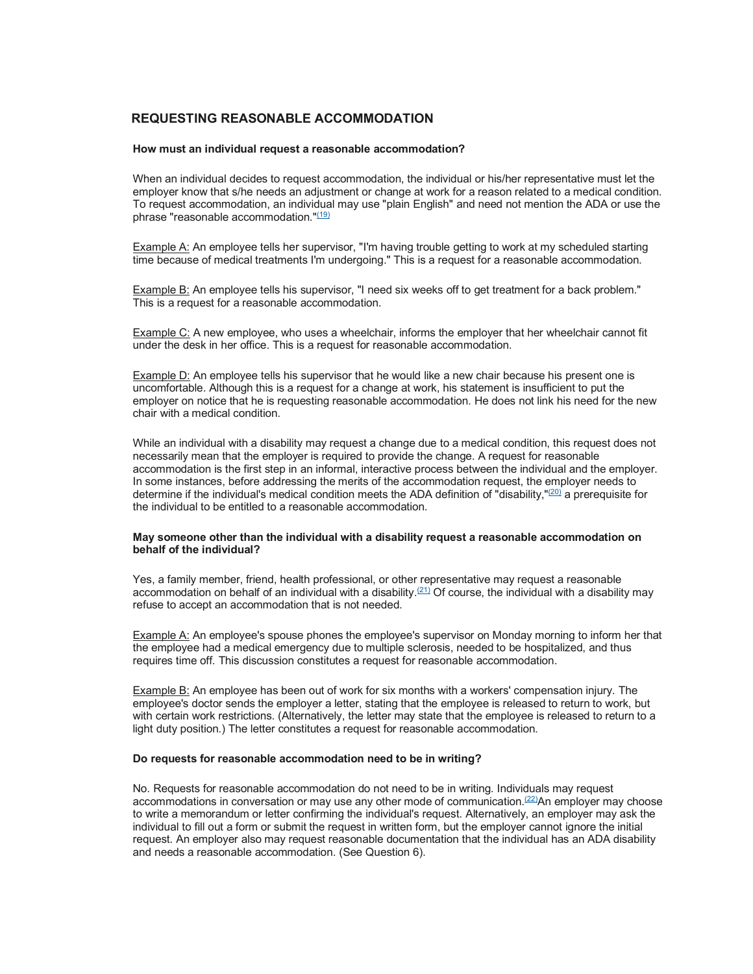# **REQUESTING REASONABLE ACCOMMODATION**

#### **How must an individual request a reasonable accommodation?**

When an individual decides to request accommodation, the individual or his/her representative must let the employer know that s/he needs an adjustment or change at work for a reason related to a medical condition. To request accommodation, an individual may use "plain English" and need not mention the ADA or use the phrase "reasonable accommodation." $(19)$ 

Example A: An employee tells her supervisor, "I'm having trouble getting to work at my scheduled starting time because of medical treatments I'm undergoing." This is a request for a reasonable accommodation.

Example B: An employee tells his supervisor, "I need six weeks off to get treatment for a back problem." This is a request for a reasonable accommodation.

Example C: A new employee, who uses a wheelchair, informs the employer that her wheelchair cannot fit under the desk in her office. This is a request for reasonable accommodation.

Example D: An employee tells his supervisor that he would like a new chair because his present one is uncomfortable. Although this is a request for a change at work, his statement is insufficient to put the employer on notice that he is requesting reasonable accommodation. He does not link his need for the new chair with a medical condition.

While an individual with a disability may request a change due to a medical condition, this request does not necessarily mean that the employer is required to provide the change. A request for reasonable accommodation is the first step in an informal, interactive process between the individual and the employer. In some instances, before addressing the merits of the accommodation request, the employer needs to determine if the individual's medical condition meets the ADA definition of "disability,"<sup>(20)</sup> a prerequisite for the individual to be entitled to a reasonable accommodation.

#### **May someone other than the individual with a disability request a reasonable accommodation on behalf of the individual?**

Yes, a family member, friend, health professional, or other representative may request a reasonable accommodation on behalf of an individual with a disability.<sup>(21)</sup> Of course, the individual with a disability may refuse to accept an accommodation that is not needed.

**Example A:** An employee's spouse phones the employee's supervisor on Monday morning to inform her that the employee had a medical emergency due to multiple sclerosis, needed to be hospitalized, and thus requires time off. This discussion constitutes a request for reasonable accommodation.

Example B: An employee has been out of work for six months with a workers' compensation injury. The employee's doctor sends the employer a letter, stating that the employee is released to return to work, but with certain work restrictions. (Alternatively, the letter may state that the employee is released to return to a light duty position.) The letter constitutes a request for reasonable accommodation.

#### **Do requests for reasonable accommodation need to be in writing?**

No. Requests for reasonable accommodation do not need to be in writing. Individuals may request accommodations in conversation or may use any other mode of communication.<sup>(22)</sup>An employer may choose to write a memorandum or letter confirming the individual's request. Alternatively, an employer may ask the individual to fill out a form or submit the request in written form, but the employer cannot ignore the initial request. An employer also may request reasonable documentation that the individual has an ADA disability and needs a reasonable accommodation. (See Question 6).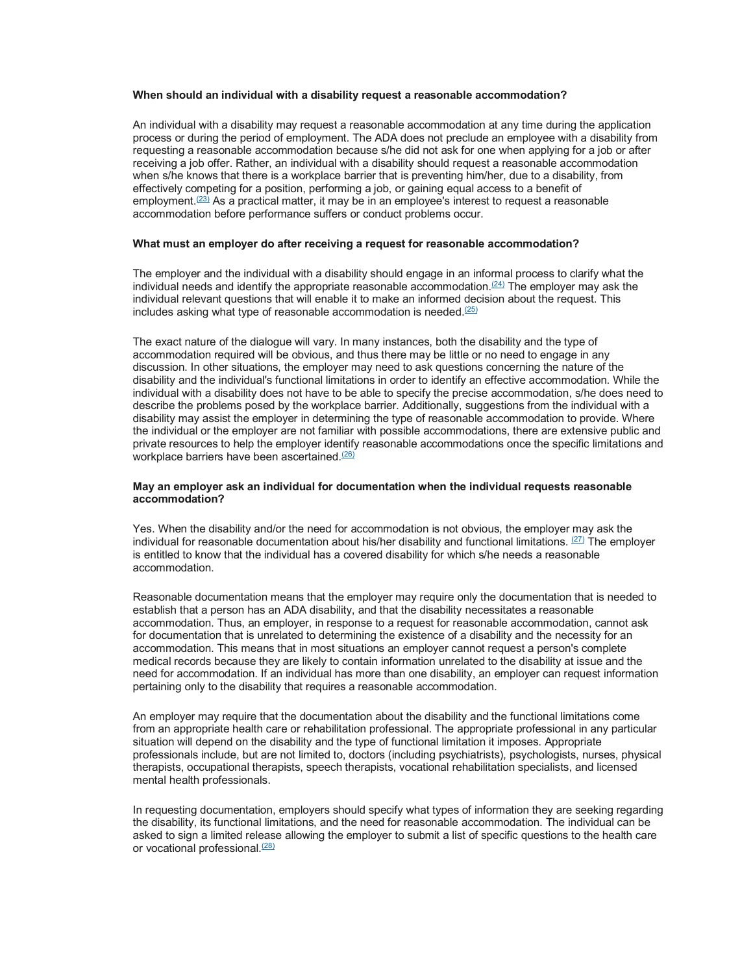## **When should an individual with a disability request a reasonable accommodation?**

An individual with a disability may request a reasonable accommodation at any time during the application process or during the period of employment. The ADA does not preclude an employee with a disability from requesting a reasonable accommodation because s/he did not ask for one when applying for a job or after receiving a job offer. Rather, an individual with a disability should request a reasonable accommodation when s/he knows that there is a workplace barrier that is preventing him/her, due to a disability, from effectively competing for a position, performing a job, or gaining equal access to a benefit of employment.<sup>(23)</sup> As a practical matter, it may be in an employee's interest to request a reasonable accommodation before performance suffers or conduct problems occur.

## **What must an employer do after receiving a request for reasonable accommodation?**

The employer and the individual with a disability should engage in an informal process to clarify what the individual needs and identify the appropriate reasonable accommodation.<sup> $(24)$ </sup> The employer may ask the individual relevant questions that will enable it to make an informed decision about the request. This includes asking what type of reasonable accommodation is needed.<sup>(25)</sup>

The exact nature of the dialogue will vary. In many instances, both the disability and the type of accommodation required will be obvious, and thus there may be little or no need to engage in any discussion. In other situations, the employer may need to ask questions concerning the nature of the disability and the individual's functional limitations in order to identify an effective accommodation. While the individual with a disability does not have to be able to specify the precise accommodation, s/he does need to describe the problems posed by the workplace barrier. Additionally, suggestions from the individual with a disability may assist the employer in determining the type of reasonable accommodation to provide. Where the individual or the employer are not familiar with possible accommodations, there are extensive public and private resources to help the employer identify reasonable accommodations once the specific limitations and workplace barriers have been ascertained.<sup>(26)</sup>

## **May an employer ask an individual for documentation when the individual requests reasonable accommodation?**

Yes. When the disability and/or the need for accommodation is not obvious, the employer may ask the individual for reasonable documentation about his/her disability and functional limitations.  $(27)$  The employer is entitled to know that the individual has a covered disability for which s/he needs a reasonable accommodation.

Reasonable documentation means that the employer may require only the documentation that is needed to establish that a person has an ADA disability, and that the disability necessitates a reasonable accommodation. Thus, an employer, in response to a request for reasonable accommodation, cannot ask for documentation that is unrelated to determining the existence of a disability and the necessity for an accommodation. This means that in most situations an employer cannot request a person's complete medical records because they are likely to contain information unrelated to the disability at issue and the need for accommodation. If an individual has more than one disability, an employer can request information pertaining only to the disability that requires a reasonable accommodation.

An employer may require that the documentation about the disability and the functional limitations come from an appropriate health care or rehabilitation professional. The appropriate professional in any particular situation will depend on the disability and the type of functional limitation it imposes. Appropriate professionals include, but are not limited to, doctors (including psychiatrists), psychologists, nurses, physical therapists, occupational therapists, speech therapists, vocational rehabilitation specialists, and licensed mental health professionals.

In requesting documentation, employers should specify what types of information they are seeking regarding the disability, its functional limitations, and the need for reasonable accommodation. The individual can be asked to sign a limited release allowing the employer to submit a list of specific questions to the health care or vocational professional. $(28)$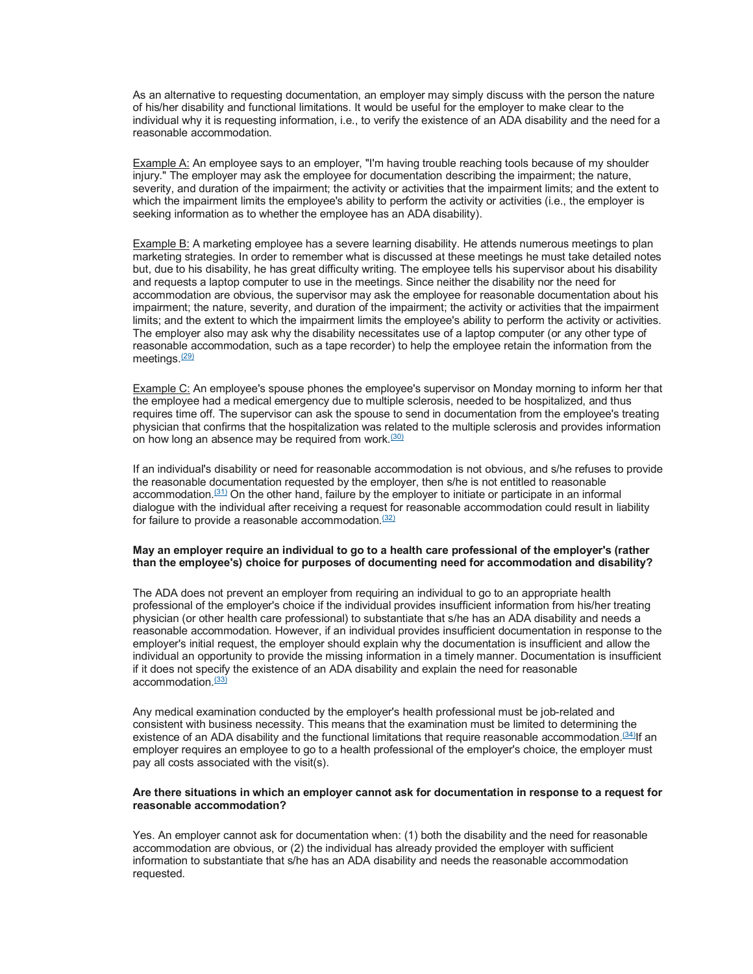As an alternative to requesting documentation, an employer may simply discuss with the person the nature of his/her disability and functional limitations. It would be useful for the employer to make clear to the individual why it is requesting information, i.e., to verify the existence of an ADA disability and the need for a reasonable accommodation.

Example A: An employee says to an employer, "I'm having trouble reaching tools because of my shoulder injury." The employer may ask the employee for documentation describing the impairment; the nature, severity, and duration of the impairment; the activity or activities that the impairment limits; and the extent to which the impairment limits the employee's ability to perform the activity or activities (i.e., the employer is seeking information as to whether the employee has an ADA disability).

Example B: A marketing employee has a severe learning disability. He attends numerous meetings to plan marketing strategies. In order to remember what is discussed at these meetings he must take detailed notes but, due to his disability, he has great difficulty writing. The employee tells his supervisor about his disability and requests a laptop computer to use in the meetings. Since neither the disability nor the need for accommodation are obvious, the supervisor may ask the employee for reasonable documentation about his impairment; the nature, severity, and duration of the impairment; the activity or activities that the impairment limits; and the extent to which the impairment limits the employee's ability to perform the activity or activities. The employer also may ask why the disability necessitates use of a laptop computer (or any other type of reasonable accommodation, such as a tape recorder) to help the employee retain the information from the meetings. $(29)$ 

Example C: An employee's spouse phones the employee's supervisor on Monday morning to inform her that the employee had a medical emergency due to multiple sclerosis, needed to be hospitalized, and thus requires time off. The supervisor can ask the spouse to send in documentation from the employee's treating physician that confirms that the hospitalization was related to the multiple sclerosis and provides information on how long an absence may be required from work.<sup>(30)</sup>

If an individual's disability or need for reasonable accommodation is not obvious, and s/he refuses to provide the reasonable documentation requested by the employer, then s/he is not entitled to reasonable accommodation.<sup>(31)</sup> On the other hand, failure by the employer to initiate or participate in an informal dialogue with the individual after receiving a request for reasonable accommodation could result in liability for failure to provide a reasonable accommodation. $(32)$ 

#### **May an employer require an individual to go to a health care professional of the employer's (rather than the employee's) choice for purposes of documenting need for accommodation and disability?**

The ADA does not prevent an employer from requiring an individual to go to an appropriate health professional of the employer's choice if the individual provides insufficient information from his/her treating physician (or other health care professional) to substantiate that s/he has an ADA disability and needs a reasonable accommodation. However, if an individual provides insufficient documentation in response to the employer's initial request, the employer should explain why the documentation is insufficient and allow the individual an opportunity to provide the missing information in a timely manner. Documentation is insufficient if it does not specify the existence of an ADA disability and explain the need for reasonable accommodation.<sup>(33)</sup>

Any medical examination conducted by the employer's health professional must be job-related and consistent with business necessity. This means that the examination must be limited to determining the existence of an ADA disability and the functional limitations that require reasonable accommodation.<sup>(34)</sup>If an employer requires an employee to go to a health professional of the employer's choice, the employer must pay all costs associated with the visit(s).

#### **Are there situations in which an employer cannot ask for documentation in response to a request for reasonable accommodation?**

Yes. An employer cannot ask for documentation when: (1) both the disability and the need for reasonable accommodation are obvious, or (2) the individual has already provided the employer with sufficient information to substantiate that s/he has an ADA disability and needs the reasonable accommodation requested.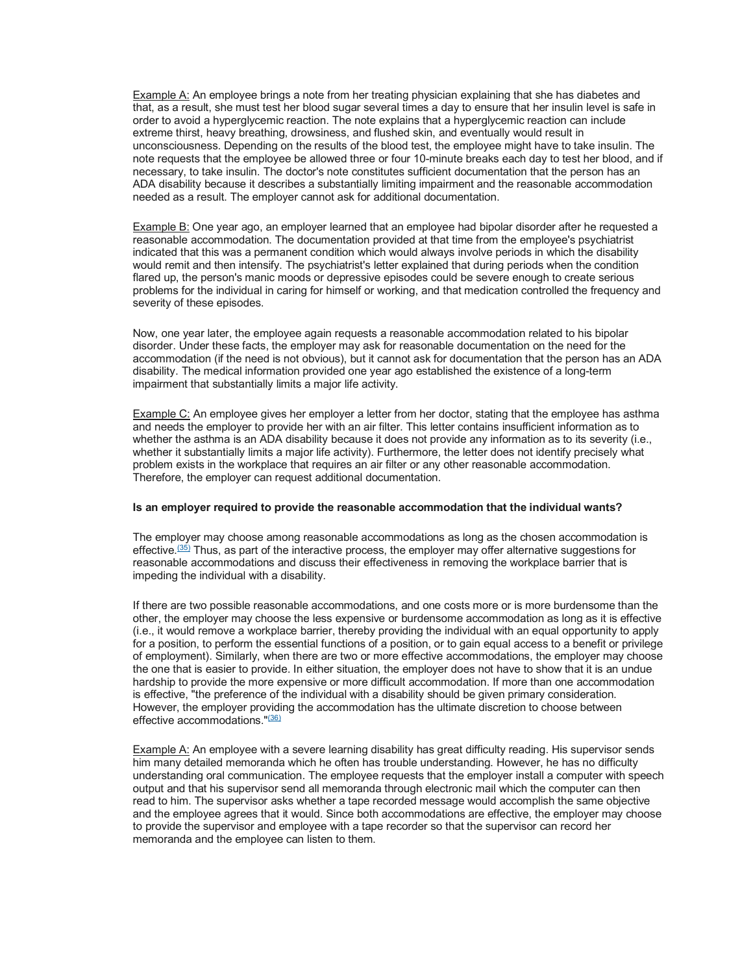Example A: An employee brings a note from her treating physician explaining that she has diabetes and that, as a result, she must test her blood sugar several times a day to ensure that her insulin level is safe in order to avoid a hyperglycemic reaction. The note explains that a hyperglycemic reaction can include extreme thirst, heavy breathing, drowsiness, and flushed skin, and eventually would result in unconsciousness. Depending on the results of the blood test, the employee might have to take insulin. The note requests that the employee be allowed three or four 10-minute breaks each day to test her blood, and if necessary, to take insulin. The doctor's note constitutes sufficient documentation that the person has an ADA disability because it describes a substantially limiting impairment and the reasonable accommodation needed as a result. The employer cannot ask for additional documentation.

Example B: One year ago, an employer learned that an employee had bipolar disorder after he requested a reasonable accommodation. The documentation provided at that time from the employee's psychiatrist indicated that this was a permanent condition which would always involve periods in which the disability would remit and then intensify. The psychiatrist's letter explained that during periods when the condition flared up, the person's manic moods or depressive episodes could be severe enough to create serious problems for the individual in caring for himself or working, and that medication controlled the frequency and severity of these episodes.

Now, one year later, the employee again requests a reasonable accommodation related to his bipolar disorder. Under these facts, the employer may ask for reasonable documentation on the need for the accommodation (if the need is not obvious), but it cannot ask for documentation that the person has an ADA disability. The medical information provided one year ago established the existence of a long-term impairment that substantially limits a major life activity.

Example C: An employee gives her employer a letter from her doctor, stating that the employee has asthma and needs the employer to provide her with an air filter. This letter contains insufficient information as to whether the asthma is an ADA disability because it does not provide any information as to its severity (i.e., whether it substantially limits a major life activity). Furthermore, the letter does not identify precisely what problem exists in the workplace that requires an air filter or any other reasonable accommodation. Therefore, the employer can request additional documentation.

## **Is an employer required to provide the reasonable accommodation that the individual wants?**

The employer may choose among reasonable accommodations as long as the chosen accommodation is effective.<sup> $(35)$ </sup> Thus, as part of the interactive process, the employer may offer alternative suggestions for reasonable accommodations and discuss their effectiveness in removing the workplace barrier that is impeding the individual with a disability.

If there are two possible reasonable accommodations, and one costs more or is more burdensome than the other, the employer may choose the less expensive or burdensome accommodation as long as it is effective (i.e., it would remove a workplace barrier, thereby providing the individual with an equal opportunity to apply for a position, to perform the essential functions of a position, or to gain equal access to a benefit or privilege of employment). Similarly, when there are two or more effective accommodations, the employer may choose the one that is easier to provide. In either situation, the employer does not have to show that it is an undue hardship to provide the more expensive or more difficult accommodation. If more than one accommodation is effective, "the preference of the individual with a disability should be given primary consideration. However, the employer providing the accommodation has the ultimate discretion to choose between effective accommodations.["\(36\)](https://www.eeoc.gov/laws/guidance/enforcement-guidance-reasonable-accommodation-and-undue-hardship-under-ada#N_36_)

Example A: An employee with a severe learning disability has great difficulty reading. His supervisor sends him many detailed memoranda which he often has trouble understanding. However, he has no difficulty understanding oral communication. The employee requests that the employer install a computer with speech output and that his supervisor send all memoranda through electronic mail which the computer can then read to him. The supervisor asks whether a tape recorded message would accomplish the same objective and the employee agrees that it would. Since both accommodations are effective, the employer may choose to provide the supervisor and employee with a tape recorder so that the supervisor can record her memoranda and the employee can listen to them.